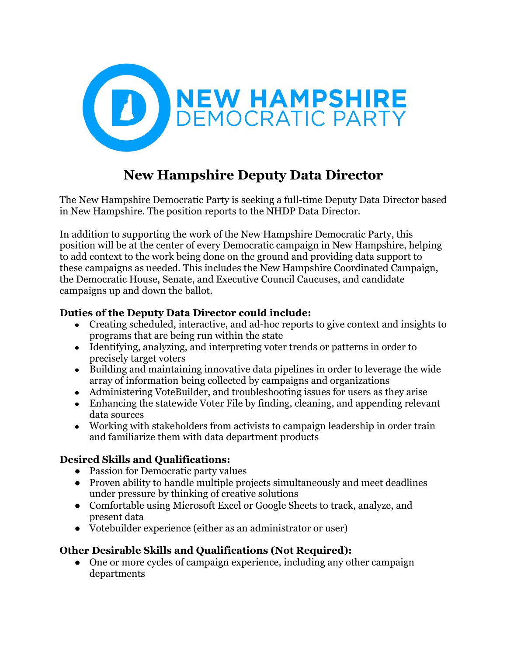

# **New Hampshire Deputy Data Director**

The New Hampshire Democratic Party is seeking a full-time Deputy Data Director based in New Hampshire. The position reports to the NHDP Data Director.

In addition to supporting the work of the New Hampshire Democratic Party, this position will be at the center of every Democratic campaign in New Hampshire, helping to add context to the work being done on the ground and providing data support to these campaigns as needed. This includes the New Hampshire Coordinated Campaign, the Democratic House, Senate, and Executive Council Caucuses, and candidate campaigns up and down the ballot.

## **Duties of the Deputy Data Director could include:**

- Creating scheduled, interactive, and ad-hoc reports to give context and insights to programs that are being run within the state
- Identifying, analyzing, and interpreting voter trends or patterns in order to precisely target voters
- Building and maintaining innovative data pipelines in order to leverage the wide array of information being collected by campaigns and organizations
- Administering VoteBuilder, and troubleshooting issues for users as they arise
- Enhancing the statewide Voter File by finding, cleaning, and appending relevant data sources
- Working with stakeholders from activists to campaign leadership in order train and familiarize them with data department products

## **Desired Skills and Qualifications:**

- Passion for Democratic party values
- Proven ability to handle multiple projects simultaneously and meet deadlines under pressure by thinking of creative solutions
- Comfortable using Microsoft Excel or Google Sheets to track, analyze, and present data
- Votebuilder experience (either as an administrator or user)

## **Other Desirable Skills and Qualifications (Not Required):**

• One or more cycles of campaign experience, including any other campaign departments